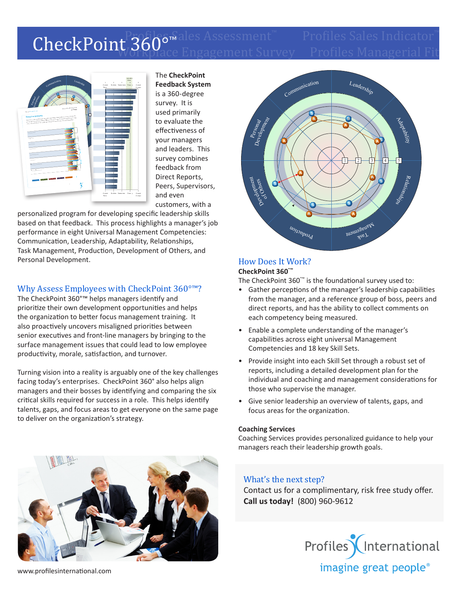# Profiles Sales Indicator™<br>CheckPoint 3600™ Assessment™ Profiles Sales Indicator Workplace Engagement Survey Profiles Managerial Fit CheckPoint 360°™



The **CheckPoint Feedback System** is a 360-degree survey. It is used primarily to evaluate the effectiveness of your managers and leaders. This survey combines feedback from Direct Reports, Peers, Supervisors, and even customers, with a

personalized program for developing specific leadership skills based on that feedback. This process highlights a manager's job performance in eight Universal Management Competencies: Communication, Leadership, Adaptability, Relationships, Task Management, Production, Development of Others, and Personal Development.

## Why Assess Employees with CheckPoint 360°™?

The CheckPoint 360°™ helps managers identify and prioritize their own development opportunities and helps the organization to better focus management training. It also proactively uncovers misaligned priorities between senior executives and front-line managers by bringing to the surface management issues that could lead to low employee productivity, morale, satisfaction, and turnover.

Turning vision into a reality is arguably one of the key challenges facing today's enterprises. CheckPoint 360° also helps align managers and their bosses by identifying and comparing the six critical skills required for success in a role. This helps identify talents, gaps, and focus areas to get everyone on the same page to deliver on the organization's strategy.



#### How Does It Work? **CheckPoint 360°™**

The CheckPoint 360°™ is the foundational survey used to:

- Gather perceptions of the manager's leadership capabilities from the manager, and a reference group of boss, peers and direct reports, and has the ability to collect comments on each competency being measured.
- Enable a complete understanding of the manager's capabilities across eight universal Management Competencies and 18 key Skill Sets.
- Provide insight into each Skill Set through a robust set of reports, including a detailed development plan for the individual and coaching and management considerations for those who supervise the manager.
- Give senior leadership an overview of talents, gaps, and focus areas for the organization.

#### **Coaching Services**

Coaching Services provides personalized guidance to help your managers reach their leadership growth goals.

### What's the next step?

Contact us for a complimentary, risk free study offer. **Call us today!** (800) 960-9612





www.profilesinternational.com